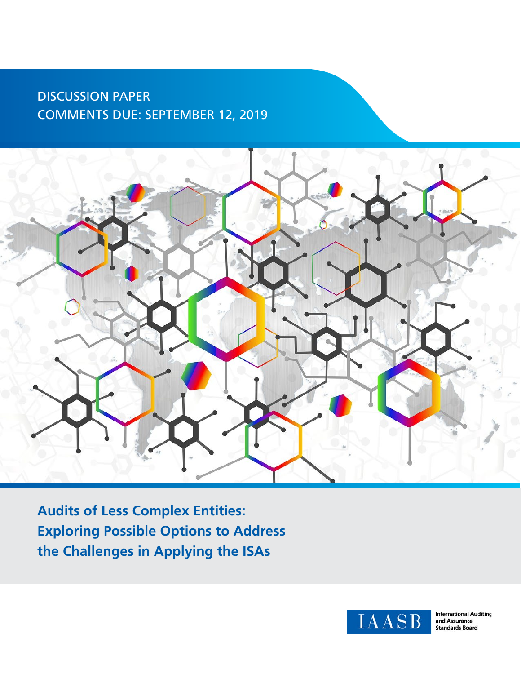### DISCUSSION PAPER COMMENTS DUE: SEPTEMBER 12, 2019



**Audits of Less Complex Entities: Exploring Possible Options to Address the Challenges in Applying the ISAs**



**International Auditing** and Assurance<br>Standards Board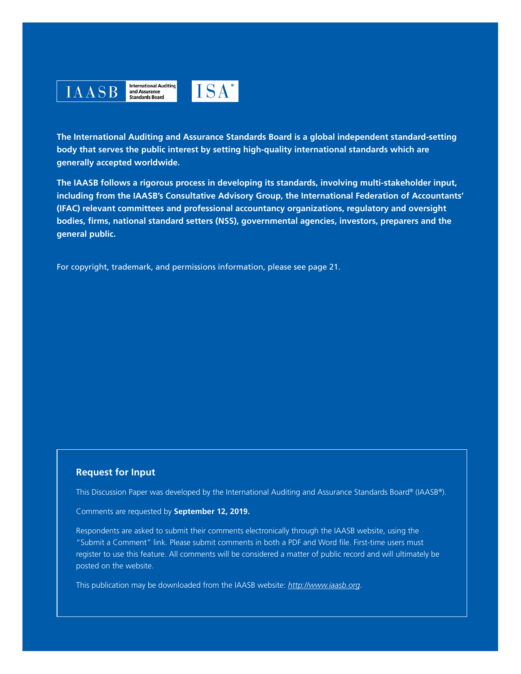

**International Auditing** and Assurance<br>Standards Board



**The International Auditing and Assurance Standards Board is a global independent standard-setting body that serves the public interest by setting high-quality international standards which are generally accepted worldwide.**

**The IAASB follows a rigorous process in developing its standards, involving multi-stakeholder input, including from the IAASB's Consultative Advisory Group, the International Federation of Accountants' (IFAC) relevant committees and professional accountancy organizations, regulatory and oversight bodies, firms, national standard setters (NSS), governmental agencies, investors, preparers and the general public.**

For copyright, trademark, and permissions information, please see page 21.

#### **Request for Input**

This Discussion Paper was developed by the International Auditing and Assurance Standards Board® (IAASB®).

#### Comments are requested by **September 12, 2019.**

Respondents are asked to submit their comments electronically through the IAASB website, using the "Submit a Comment" link. Please submit comments in both a PDF and Word file. First-time users must register to use this feature. All comments will be considered a matter of public record and will ultimately be posted on the website.

This publication may be downloaded from the IAASB website: *http://www.iaasb.org*.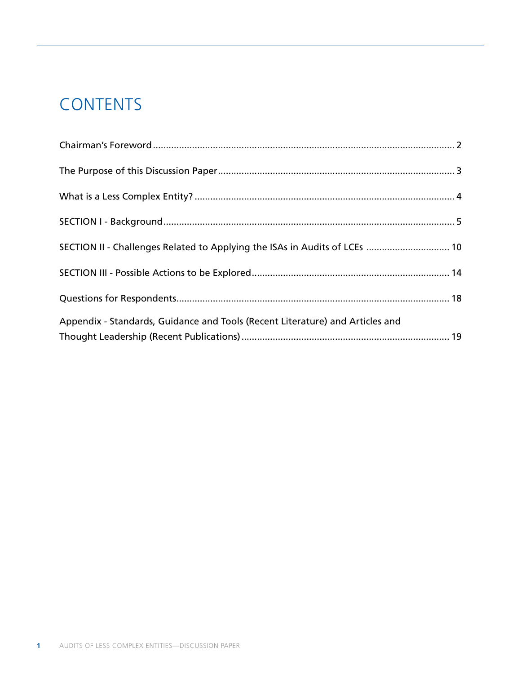# **CONTENTS**

| SECTION II - Challenges Related to Applying the ISAs in Audits of LCEs  10    |  |
|-------------------------------------------------------------------------------|--|
|                                                                               |  |
|                                                                               |  |
|                                                                               |  |
|                                                                               |  |
| Appendix - Standards, Guidance and Tools (Recent Literature) and Articles and |  |
|                                                                               |  |
|                                                                               |  |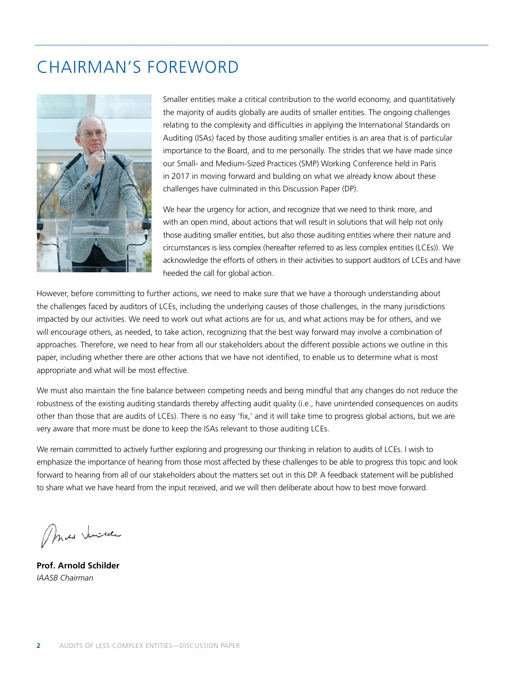### CHAIRMAN'S FOREWORD



Smaller entities make a critical contribution to the world economy, and quantitatively the majority of audits globally are audits of smaller entities. The ongoing challenges relating to the complexity and difficulties in applying the International Standards on Auditing (ISAs) faced by those auditing smaller entities is an area that is of particular importance to the Board, and to me personally. The strides that we have made since our Small- and Medium-Sized Practices (SMP) Working Conference held in Paris in 2017 in moving forward and building on what we already know about these challenges have culminated in this Discussion Paper (DP).

We hear the urgency for action, and recognize that we need to think more, and with an open mind, about actions that will result in solutions that will help not only those auditing smaller entities, but also those auditing entities where their nature and circumstances is less complex (hereafter referred to as less complex entities (LCEs)). We acknowledge the efforts of others in their activities to support auditors of LCEs and have heeded the call for global action.

However, before committing to further actions, we need to make sure that we have a thorough understanding about the challenges faced by auditors of LCEs, including the underlying causes of those challenges, in the many jurisdictions impacted by our activities. We need to work out what actions are for us, and what actions may be for others, and we will encourage others, as needed, to take action, recognizing that the best way forward may involve a combination of approaches. Therefore, we need to hear from all our stakeholders about the different possible actions we outline in this paper, including whether there are other actions that we have not identified, to enable us to determine what is most appropriate and what will be most effective.

We must also maintain the fine balance between competing needs and being mindful that any changes do not reduce the robustness of the existing auditing standards thereby affecting audit quality (i.e., have unintended consequences on audits other than those that are audits of LCEs). There is no easy 'fix,' and it will take time to progress global actions, but we are very aware that more must be done to keep the ISAs relevant to those auditing LCEs.

We remain committed to actively further exploring and progressing our thinking in relation to audits of LCEs. I wish to emphasize the importance of hearing from those most affected by these challenges to be able to progress this topic and look forward to hearing from all of our stakeholders about the matters set out in this DP. A feedback statement will be published to share what we have heard from the input received, and we will then deliberate about how to best move forward.

Max Junida

**Prof. Arnold Schilder** *IAASB Chairman*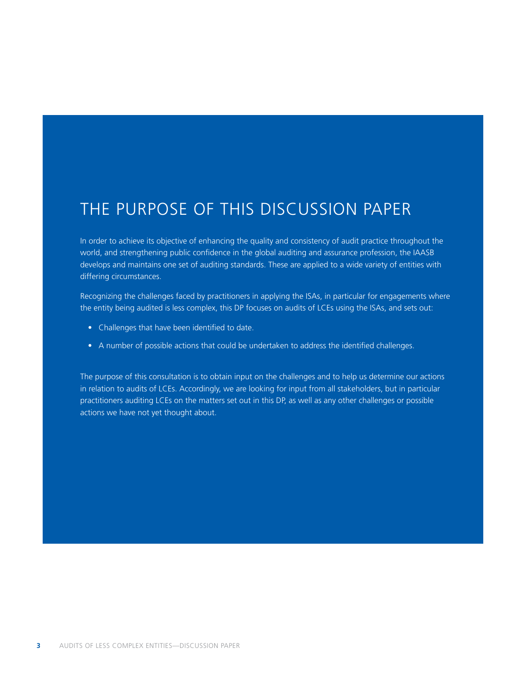### THE PURPOSE OF THIS DISCUSSION PAPER

In order to achieve its objective of enhancing the quality and consistency of audit practice throughout the world, and strengthening public confidence in the global auditing and assurance profession, the IAASB develops and maintains one set of auditing standards. These are applied to a wide variety of entities with differing circumstances.

Recognizing the challenges faced by practitioners in applying the ISAs, in particular for engagements where the entity being audited is less complex, this DP focuses on audits of LCEs using the ISAs, and sets out:

- Challenges that have been identified to date.
- A number of possible actions that could be undertaken to address the identified challenges.

The purpose of this consultation is to obtain input on the challenges and to help us determine our actions in relation to audits of LCEs. Accordingly, we are looking for input from all stakeholders, but in particular practitioners auditing LCEs on the matters set out in this DP, as well as any other challenges or possible actions we have not yet thought about.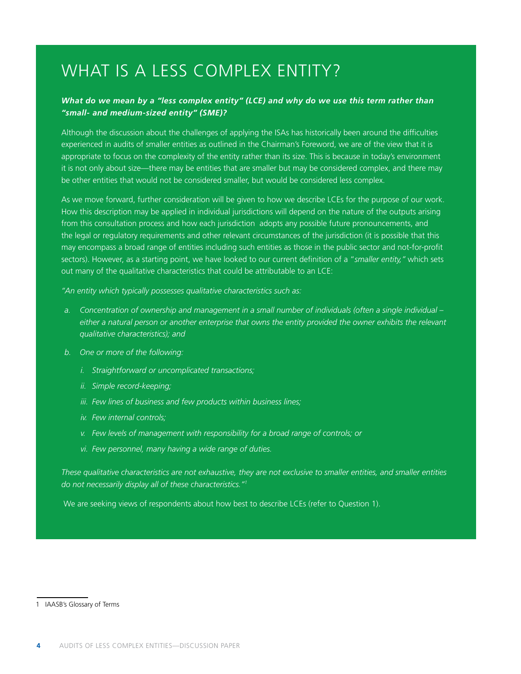## WHAT IS A LESS COMPLEX ENTITY?

#### *What do we mean by a "less complex entity" (LCE) and why do we use this term rather than "small- and medium-sized entity" (SME)?*

Although the discussion about the challenges of applying the ISAs has historically been around the difficulties experienced in audits of smaller entities as outlined in the Chairman's Foreword, we are of the view that it is appropriate to focus on the complexity of the entity rather than its size. This is because in today's environment it is not only about size—there may be entities that are smaller but may be considered complex, and there may be other entities that would not be considered smaller, but would be considered less complex.

As we move forward, further consideration will be given to how we describe LCEs for the purpose of our work. How this description may be applied in individual jurisdictions will depend on the nature of the outputs arising from this consultation process and how each jurisdiction adopts any possible future pronouncements, and the legal or regulatory requirements and other relevant circumstances of the jurisdiction (it is possible that this may encompass a broad range of entities including such entities as those in the public sector and not-for-profit sectors). However, as a starting point, we have looked to our current definition of a "*smaller entity,"* which sets out many of the qualitative characteristics that could be attributable to an LCE:

*"An entity which typically possesses qualitative characteristics such as:*

- *a. Concentration of ownership and management in a small number of individuals (often a single individual either a natural person or another enterprise that owns the entity provided the owner exhibits the relevant qualitative characteristics); and*
- *b. One or more of the following:*
	- *i. Straightforward or uncomplicated transactions;*
	- *ii. Simple record-keeping;*
	- *iii. Few lines of business and few products within business lines;*
	- *iv. Few internal controls;*
	- *v. Few levels of management with responsibility for a broad range of controls; or*
	- *vi. Few personnel, many having a wide range of duties.*

*These qualitative characteristics are not exhaustive, they are not exclusive to smaller entities, and smaller entities do not necessarily display all of these characteristics."1*

We are seeking views of respondents about how best to describe LCEs (refer to Question 1).

<sup>1</sup> IAASB's Glossary of Terms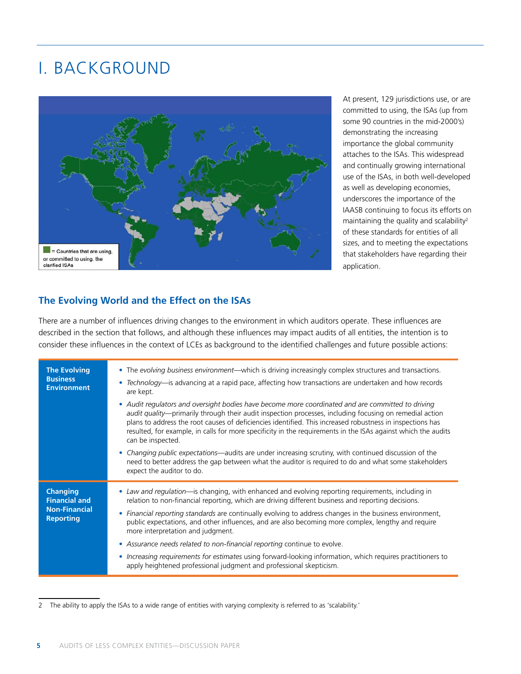## I. BACKGROUND



At present, 129 jurisdictions use, or are committed to using, the ISAs (up from some 90 countries in the mid-2000's) demonstrating the increasing importance the global community attaches to the ISAs. This widespread and continually growing international use of the ISAs, in both well-developed as well as developing economies, underscores the importance of the IAASB continuing to focus its efforts on maintaining the quality and scalability<sup>2</sup> of these standards for entities of all sizes, and to meeting the expectations that stakeholders have regarding their application.

#### **The Evolving World and the Effect on the ISAs**

There are a number of influences driving changes to the environment in which auditors operate. These influences are described in the section that follows, and although these influences may impact audits of all entities, the intention is to consider these influences in the context of LCEs as background to the identified challenges and future possible actions:

| <b>The Evolving</b><br><b>Business</b><br><b>Environment</b>                        | • The evolving business environment—which is driving increasingly complex structures and transactions.<br>• Technology—is advancing at a rapid pace, affecting how transactions are undertaken and how records<br>are kept.<br>• Audit regulators and oversight bodies have become more coordinated and are committed to driving<br>audit quality—primarily through their audit inspection processes, including focusing on remedial action<br>plans to address the root causes of deficiencies identified. This increased robustness in inspections has<br>resulted, for example, in calls for more specificity in the requirements in the ISAs against which the audits<br>can be inspected.<br>• Changing public expectations—audits are under increasing scrutiny, with continued discussion of the<br>need to better address the gap between what the auditor is required to do and what some stakeholders<br>expect the auditor to do. |
|-------------------------------------------------------------------------------------|----------------------------------------------------------------------------------------------------------------------------------------------------------------------------------------------------------------------------------------------------------------------------------------------------------------------------------------------------------------------------------------------------------------------------------------------------------------------------------------------------------------------------------------------------------------------------------------------------------------------------------------------------------------------------------------------------------------------------------------------------------------------------------------------------------------------------------------------------------------------------------------------------------------------------------------------|
| <b>Changing</b><br><b>Financial and</b><br><b>Non-Financial</b><br><b>Reporting</b> | • Law and regulation—is changing, with enhanced and evolving reporting requirements, including in<br>relation to non-financial reporting, which are driving different business and reporting decisions.<br>• Financial reporting standards are continually evolving to address changes in the business environment,<br>public expectations, and other influences, and are also becoming more complex, lengthy and require<br>more interpretation and judgment.<br>• Assurance needs related to non-financial reporting continue to evolve.<br>• Increasing requirements for estimates using forward-looking information, which requires practitioners to<br>apply heightened professional judgment and professional skepticism.                                                                                                                                                                                                              |

<sup>2</sup> The ability to apply the ISAs to a wide range of entities with varying complexity is referred to as 'scalability.'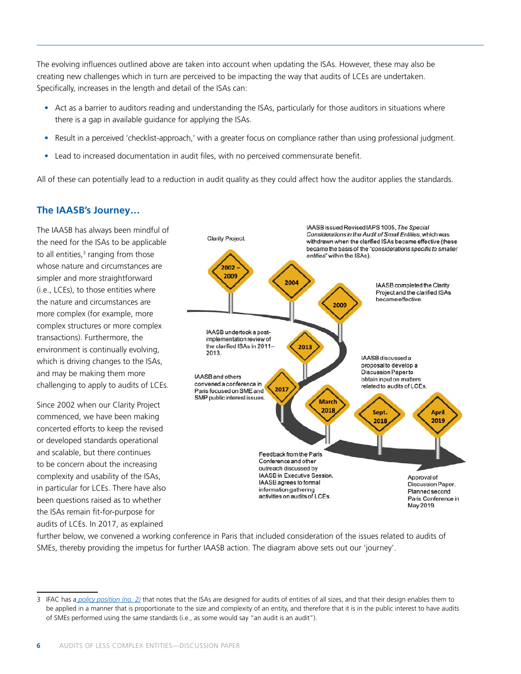The evolving influences outlined above are taken into account when updating the ISAs. However, these may also be creating new challenges which in turn are perceived to be impacting the way that audits of LCEs are undertaken. Specifically, increases in the length and detail of the ISAs can:

- Act as a barrier to auditors reading and understanding the ISAs, particularly for those auditors in situations where there is a gap in available guidance for applying the ISAs.
- Result in a perceived 'checklist-approach,' with a greater focus on compliance rather than using professional judgment.
- Lead to increased documentation in audit files, with no perceived commensurate benefit.

All of these can potentially lead to a reduction in audit quality as they could affect how the auditor applies the standards.

### **The IAASB's Journey…**

The IAASB has always been mindful of the need for the ISAs to be applicable to all entities,<sup>3</sup> ranging from those whose nature and circumstances are simpler and more straightforward (i.e., LCEs), to those entities where the nature and circumstances are more complex (for example, more complex structures or more complex transactions). Furthermore, the environment is continually evolving, which is driving changes to the ISAs, and may be making them more challenging to apply to audits of LCEs.

Since 2002 when our Clarity Project commenced, we have been making concerted efforts to keep the revised or developed standards operational and scalable, but there continues to be concern about the increasing complexity and usability of the ISAs, in particular for LCEs. There have also been questions raised as to whether the ISAs remain fit-for-purpose for audits of LCEs. In 2017, as explained



further below, we convened a working conference in Paris that included consideration of the issues related to audits of SMEs, thereby providing the impetus for further IAASB action. The diagram above sets out our 'journey'.

<sup>3</sup> IFAC has a *policy position (no. 2)* that notes that the ISAs are designed for audits of entities of all sizes, and that their design enables them to be applied in a manner that is proportionate to the size and complexity of an entity, and therefore that it is in the public interest to have audits of SMEs performed using the same standards (i.e., as some would say "an audit is an audit").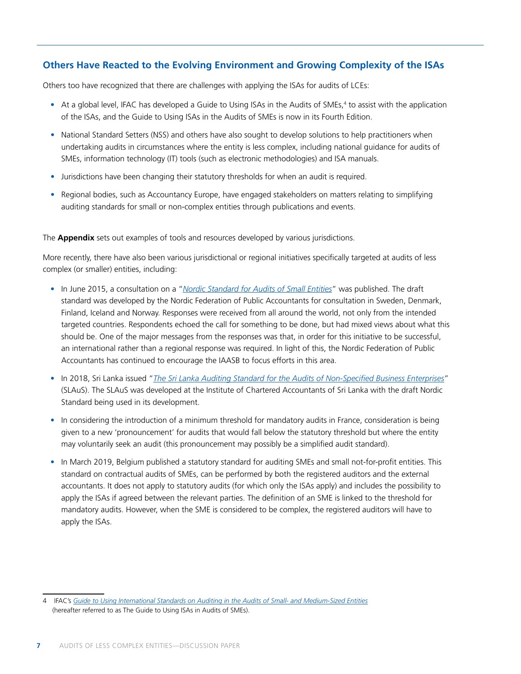### **Others Have Reacted to the Evolving Environment and Growing Complexity of the ISAs**

Others too have recognized that there are challenges with applying the ISAs for audits of LCEs:

- At a global level, IFAC has developed a Guide to Using ISAs in the Audits of SMEs,<sup>4</sup> to assist with the application of the ISAs, and the Guide to Using ISAs in the Audits of SMEs is now in its Fourth Edition.
- National Standard Setters (NSS) and others have also sought to develop solutions to help practitioners when undertaking audits in circumstances where the entity is less complex, including national guidance for audits of SMEs, information technology (IT) tools (such as electronic methodologies) and ISA manuals.
- Jurisdictions have been changing their statutory thresholds for when an audit is required.
- Regional bodies, such as Accountancy Europe, have engaged stakeholders on matters relating to simplifying auditing standards for small or non-complex entities through publications and events.

The **Appendix** sets out examples of tools and resources developed by various jurisdictions.

More recently, there have also been various jurisdictional or regional initiatives specifically targeted at audits of less complex (or smaller) entities, including:

- In June 2015, a consultation on a "*Nordic Standard for Audits of Small Entities*" was published. The draft standard was developed by the Nordic Federation of Public Accountants for consultation in Sweden, Denmark, Finland, Iceland and Norway. Responses were received from all around the world, not only from the intended targeted countries. Respondents echoed the call for something to be done, but had mixed views about what this should be. One of the major messages from the responses was that, in order for this initiative to be successful, an international rather than a regional response was required. In light of this, the Nordic Federation of Public Accountants has continued to encourage the IAASB to focus efforts in this area.
- In 2018, Sri Lanka issued "*The Sri Lanka Auditing Standard for the Audits of Non-Specified Business Enterprises*" (SLAuS). The SLAuS was developed at the Institute of Chartered Accountants of Sri Lanka with the draft Nordic Standard being used in its development.
- In considering the introduction of a minimum threshold for mandatory audits in France, consideration is being given to a new 'pronouncement' for audits that would fall below the statutory threshold but where the entity may voluntarily seek an audit (this pronouncement may possibly be a simplified audit standard).
- In March 2019, Belgium published a statutory standard for auditing SMEs and small not-for-profit entities. This standard on contractual audits of SMEs, can be performed by both the registered auditors and the external accountants. It does not apply to statutory audits (for which only the ISAs apply) and includes the possibility to apply the ISAs if agreed between the relevant parties. The definition of an SME is linked to the threshold for mandatory audits. However, when the SME is considered to be complex, the registered auditors will have to apply the ISAs.

<sup>4</sup> IFAC's *Guide to Using International Standards on Auditing in the Audits of Small- and Medium-Sized Entities* (hereafter referred to as The Guide to Using ISAs in Audits of SMEs).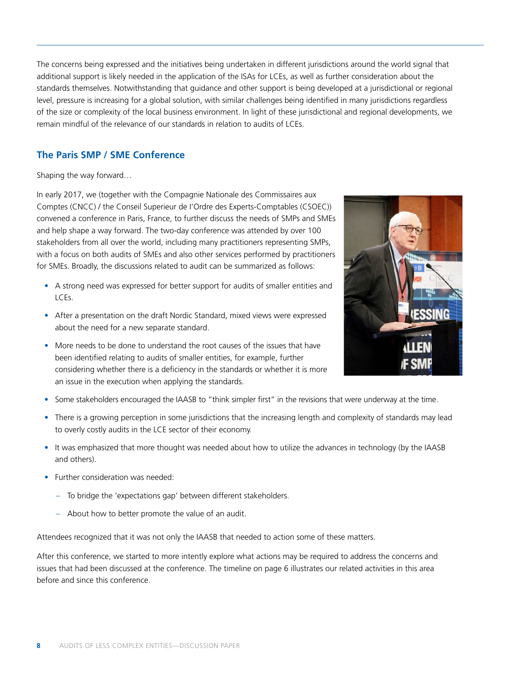The concerns being expressed and the initiatives being undertaken in different jurisdictions around the world signal that additional support is likely needed in the application of the ISAs for LCEs, as well as further consideration about the standards themselves. Notwithstanding that guidance and other support is being developed at a jurisdictional or regional level, pressure is increasing for a global solution, with similar challenges being identified in many jurisdictions regardless of the size or complexity of the local business environment. In light of these jurisdictional and regional developments, we remain mindful of the relevance of our standards in relation to audits of LCEs.

### **The Paris SMP / SME Conference**

Shaping the way forward…

In early 2017, we (together with the Compagnie Nationale des Commissaires aux Comptes (CNCC) / the Conseil Superieur de I'Ordre des Experts-Comptables (CSOEC)) convened a conference in Paris, France, to further discuss the needs of SMPs and SMEs and help shape a way forward. The two-day conference was attended by over 100 stakeholders from all over the world, including many practitioners representing SMPs, with a focus on both audits of SMEs and also other services performed by practitioners for SMEs. Broadly, the discussions related to audit can be summarized as follows:

- A strong need was expressed for better support for audits of smaller entities and LCEs.
- After a presentation on the draft Nordic Standard, mixed views were expressed about the need for a new separate standard.
- More needs to be done to understand the root causes of the issues that have been identified relating to audits of smaller entities, for example, further considering whether there is a deficiency in the standards or whether it is more an issue in the execution when applying the standards.



- Some stakeholders encouraged the IAASB to "think simpler first" in the revisions that were underway at the time.
- There is a growing perception in some jurisdictions that the increasing length and complexity of standards may lead to overly costly audits in the LCE sector of their economy.
- It was emphasized that more thought was needed about how to utilize the advances in technology (by the IAASB and others).
- Further consideration was needed:
	- To bridge the 'expectations gap' between different stakeholders.
	- About how to better promote the value of an audit.

Attendees recognized that it was not only the IAASB that needed to action some of these matters.

After this conference, we started to more intently explore what actions may be required to address the concerns and issues that had been discussed at the conference. The timeline on page 6 illustrates our related activities in this area before and since this conference.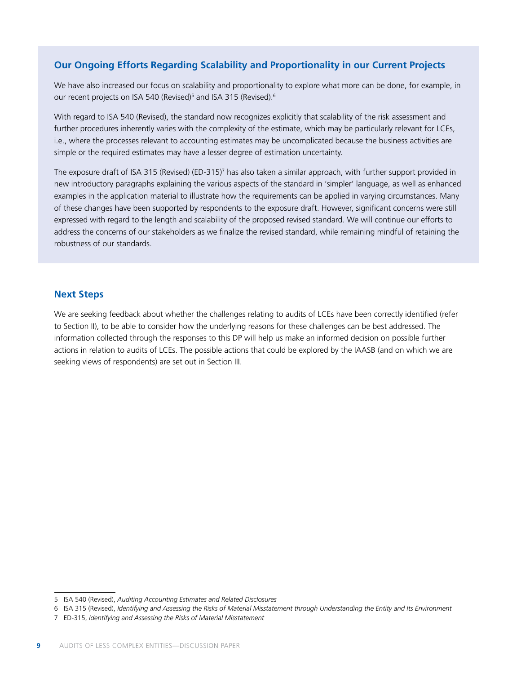### **Our Ongoing Efforts Regarding Scalability and Proportionality in our Current Projects**

We have also increased our focus on scalability and proportionality to explore what more can be done, for example, in our recent projects on ISA 540 (Revised)<sup>5</sup> and ISA 315 (Revised).<sup>6</sup>

With regard to ISA 540 (Revised), the standard now recognizes explicitly that scalability of the risk assessment and further procedures inherently varies with the complexity of the estimate, which may be particularly relevant for LCEs, i.e., where the processes relevant to accounting estimates may be uncomplicated because the business activities are simple or the required estimates may have a lesser degree of estimation uncertainty.

The exposure draft of ISA 315 (Revised) (ED-315)7 has also taken a similar approach, with further support provided in new introductory paragraphs explaining the various aspects of the standard in 'simpler' language, as well as enhanced examples in the application material to illustrate how the requirements can be applied in varying circumstances. Many of these changes have been supported by respondents to the exposure draft. However, significant concerns were still expressed with regard to the length and scalability of the proposed revised standard. We will continue our efforts to address the concerns of our stakeholders as we finalize the revised standard, while remaining mindful of retaining the robustness of our standards.

#### **Next Steps**

We are seeking feedback about whether the challenges relating to audits of LCEs have been correctly identified (refer to Section II), to be able to consider how the underlying reasons for these challenges can be best addressed. The information collected through the responses to this DP will help us make an informed decision on possible further actions in relation to audits of LCEs. The possible actions that could be explored by the IAASB (and on which we are seeking views of respondents) are set out in Section III.

<sup>5</sup> ISA 540 (Revised), *Auditing Accounting Estimates and Related Disclosures*

<sup>6</sup> ISA 315 (Revised), *Identifying and Assessing the Risks of Material Misstatement through Understanding the Entity and Its Environment*

<sup>7</sup> ED-315, *Identifying and Assessing the Risks of Material Misstatement*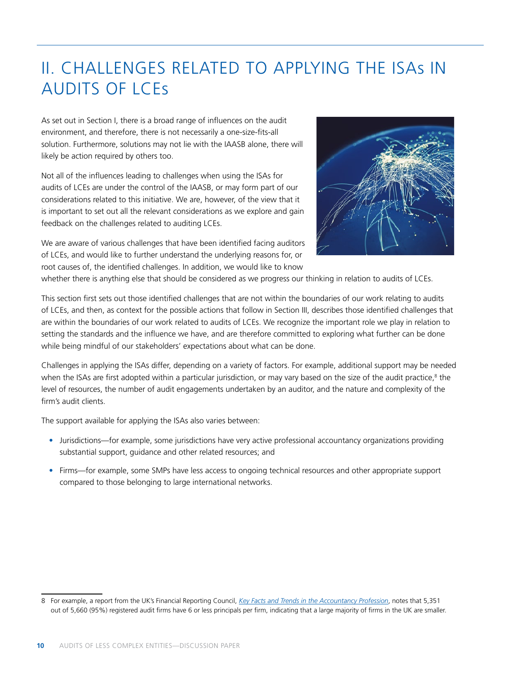## II. CHALLENGES RELATED TO APPLYING THE ISAs IN AUDITS OF LCEs

As set out in Section I, there is a broad range of influences on the audit environment, and therefore, there is not necessarily a one-size-fits-all solution. Furthermore, solutions may not lie with the IAASB alone, there will likely be action required by others too.

Not all of the influences leading to challenges when using the ISAs for audits of LCEs are under the control of the IAASB, or may form part of our considerations related to this initiative. We are, however, of the view that it is important to set out all the relevant considerations as we explore and gain feedback on the challenges related to auditing LCEs.



We are aware of various challenges that have been identified facing auditors of LCEs, and would like to further understand the underlying reasons for, or root causes of, the identified challenges. In addition, we would like to know

whether there is anything else that should be considered as we progress our thinking in relation to audits of LCEs.

This section first sets out those identified challenges that are not within the boundaries of our work relating to audits of LCEs, and then, as context for the possible actions that follow in Section III, describes those identified challenges that are within the boundaries of our work related to audits of LCEs. We recognize the important role we play in relation to setting the standards and the influence we have, and are therefore committed to exploring what further can be done while being mindful of our stakeholders' expectations about what can be done.

Challenges in applying the ISAs differ, depending on a variety of factors. For example, additional support may be needed when the ISAs are first adopted within a particular jurisdiction, or may vary based on the size of the audit practice,<sup>8</sup> the level of resources, the number of audit engagements undertaken by an auditor, and the nature and complexity of the firm's audit clients.

The support available for applying the ISAs also varies between:

- Jurisdictions—for example, some jurisdictions have very active professional accountancy organizations providing substantial support, guidance and other related resources; and
- Firms—for example, some SMPs have less access to ongoing technical resources and other appropriate support compared to those belonging to large international networks.

<sup>8</sup> For example, a report from the UK's Financial Reporting Council, *Key Facts and Trends in the Accountancy Profession*, notes that 5,351 out of 5,660 (95%) registered audit firms have 6 or less principals per firm, indicating that a large majority of firms in the UK are smaller.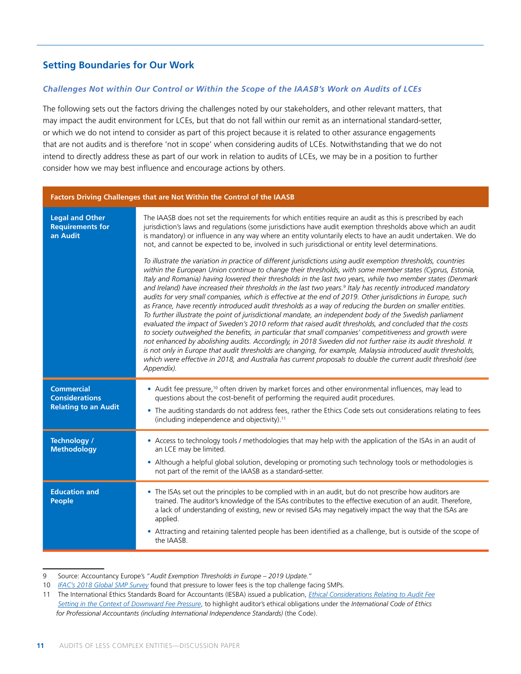### **Setting Boundaries for Our Work**

#### *Challenges Not within Our Control or Within the Scope of the IAASB's Work on Audits of LCEs*

The following sets out the factors driving the challenges noted by our stakeholders, and other relevant matters, that may impact the audit environment for LCEs, but that do not fall within our remit as an international standard-setter, or which we do not intend to consider as part of this project because it is related to other assurance engagements that are not audits and is therefore 'not in scope' when considering audits of LCEs. Notwithstanding that we do not intend to directly address these as part of our work in relation to audits of LCEs, we may be in a position to further consider how we may best influence and encourage actions by others.

#### **Factors Driving Challenges that are Not Within the Control of the IAASB**

| <b>Legal and Other</b><br><b>Requirements for</b><br>an Audit             | The IAASB does not set the requirements for which entities require an audit as this is prescribed by each<br>jurisdiction's laws and regulations (some jurisdictions have audit exemption thresholds above which an audit<br>is mandatory) or influence in any way where an entity voluntarily elects to have an audit undertaken. We do<br>not, and cannot be expected to be, involved in such jurisdictional or entity level determinations.<br>To illustrate the variation in practice of different jurisdictions using audit exemption thresholds, countries<br>within the European Union continue to change their thresholds, with some member states (Cyprus, Estonia,<br>Italy and Romania) having lowered their thresholds in the last two years, while two member states (Denmark<br>and Ireland) have increased their thresholds in the last two years. <sup>9</sup> Italy has recently introduced mandatory<br>audits for very small companies, which is effective at the end of 2019. Other jurisdictions in Europe, such<br>as France, have recently introduced audit thresholds as a way of reducing the burden on smaller entities.<br>To further illustrate the point of jurisdictional mandate, an independent body of the Swedish parliament<br>evaluated the impact of Sweden's 2010 reform that raised audit thresholds, and concluded that the costs<br>to society outweighed the benefits, in particular that small companies' competitiveness and growth were<br>not enhanced by abolishing audits. Accordingly, in 2018 Sweden did not further raise its audit threshold. It<br>is not only in Europe that audit thresholds are changing, for example, Malaysia introduced audit thresholds,<br>which were effective in 2018, and Australia has current proposals to double the current audit threshold (see<br>Appendix). |
|---------------------------------------------------------------------------|----------------------------------------------------------------------------------------------------------------------------------------------------------------------------------------------------------------------------------------------------------------------------------------------------------------------------------------------------------------------------------------------------------------------------------------------------------------------------------------------------------------------------------------------------------------------------------------------------------------------------------------------------------------------------------------------------------------------------------------------------------------------------------------------------------------------------------------------------------------------------------------------------------------------------------------------------------------------------------------------------------------------------------------------------------------------------------------------------------------------------------------------------------------------------------------------------------------------------------------------------------------------------------------------------------------------------------------------------------------------------------------------------------------------------------------------------------------------------------------------------------------------------------------------------------------------------------------------------------------------------------------------------------------------------------------------------------------------------------------------------------------------------------------------------------------------------------------------------|
| <b>Commercial</b><br><b>Considerations</b><br><b>Relating to an Audit</b> | • Audit fee pressure, <sup>10</sup> often driven by market forces and other environmental influences, may lead to<br>questions about the cost-benefit of performing the required audit procedures.<br>• The auditing standards do not address fees, rather the Ethics Code sets out considerations relating to fees<br>(including independence and objectivity). <sup>11</sup>                                                                                                                                                                                                                                                                                                                                                                                                                                                                                                                                                                                                                                                                                                                                                                                                                                                                                                                                                                                                                                                                                                                                                                                                                                                                                                                                                                                                                                                                     |
| Technology /<br><b>Methodology</b>                                        | • Access to technology tools / methodologies that may help with the application of the ISAs in an audit of<br>an LCE may be limited.<br>Although a helpful global solution, developing or promoting such technology tools or methodologies is<br>٠<br>not part of the remit of the IAASB as a standard-setter.                                                                                                                                                                                                                                                                                                                                                                                                                                                                                                                                                                                                                                                                                                                                                                                                                                                                                                                                                                                                                                                                                                                                                                                                                                                                                                                                                                                                                                                                                                                                     |
| <b>Education and</b><br><b>People</b>                                     | • The ISAs set out the principles to be complied with in an audit, but do not prescribe how auditors are<br>trained. The auditor's knowledge of the ISAs contributes to the effective execution of an audit. Therefore,<br>a lack of understanding of existing, new or revised ISAs may negatively impact the way that the ISAs are<br>applied.<br>Attracting and retaining talented people has been identified as a challenge, but is outside of the scope of<br>the IAASB.                                                                                                                                                                                                                                                                                                                                                                                                                                                                                                                                                                                                                                                                                                                                                                                                                                                                                                                                                                                                                                                                                                                                                                                                                                                                                                                                                                       |

<sup>9</sup> Source: Accountancy Europe's "*Audit Exemption Thresholds in Europe – 2019 Update.*"

<sup>10</sup> *IFAC's 2018 Global SMP Survey* found that pressure to lower fees is the top challenge facing SMPs.

<sup>11</sup> The International Ethics Standards Board for Accountants (IESBA) issued a publication, *Ethical Considerations Relating to Audit Fee Setting in the Context of Downward Fee Pressure*, to highlight auditor's ethical obligations under the *International Code of Ethics for Professional Accountants (including International Independence Standards)* (the Code).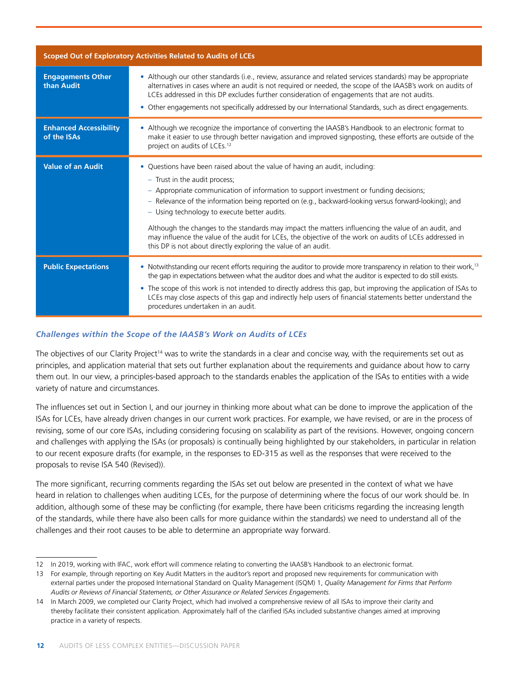| Scoped Out of Exploratory Activities Related to Audits of LCEs |                                                                                                                                                                                                                                                                                                                                                                                                                                                                                                                                                                                                                                                     |  |
|----------------------------------------------------------------|-----------------------------------------------------------------------------------------------------------------------------------------------------------------------------------------------------------------------------------------------------------------------------------------------------------------------------------------------------------------------------------------------------------------------------------------------------------------------------------------------------------------------------------------------------------------------------------------------------------------------------------------------------|--|
| <b>Engagements Other</b><br>than Audit                         | • Although our other standards (i.e., review, assurance and related services standards) may be appropriate<br>alternatives in cases where an audit is not required or needed, the scope of the IAASB's work on audits of<br>LCEs addressed in this DP excludes further consideration of engagements that are not audits.<br>• Other engagements not specifically addressed by our International Standards, such as direct engagements.                                                                                                                                                                                                              |  |
| <b>Enhanced Accessibility</b><br>of the ISAs                   | • Although we recognize the importance of converting the IAASB's Handbook to an electronic format to<br>make it easier to use through better navigation and improved signposting, these efforts are outside of the<br>project on audits of LCEs. <sup>12</sup>                                                                                                                                                                                                                                                                                                                                                                                      |  |
| <b>Value of an Audit</b>                                       | • Questions have been raised about the value of having an audit, including:<br>- Trust in the audit process;<br>- Appropriate communication of information to support investment or funding decisions;<br>- Relevance of the information being reported on (e.g., backward-looking versus forward-looking); and<br>- Using technology to execute better audits.<br>Although the changes to the standards may impact the matters influencing the value of an audit, and<br>may influence the value of the audit for LCEs, the objective of the work on audits of LCEs addressed in<br>this DP is not about directly exploring the value of an audit. |  |
| <b>Public Expectations</b>                                     | • Notwithstanding our recent efforts requiring the auditor to provide more transparency in relation to their work, <sup>13</sup><br>the gap in expectations between what the auditor does and what the auditor is expected to do still exists.<br>• The scope of this work is not intended to directly address this gap, but improving the application of ISAs to<br>LCEs may close aspects of this gap and indirectly help users of financial statements better understand the<br>procedures undertaken in an audit.                                                                                                                               |  |

#### *Challenges within the Scope of the IAASB's Work on Audits of LCEs*

The objectives of our Clarity Project<sup>14</sup> was to write the standards in a clear and concise way, with the requirements set out as principles, and application material that sets out further explanation about the requirements and guidance about how to carry them out. In our view, a principles-based approach to the standards enables the application of the ISAs to entities with a wide variety of nature and circumstances.

The influences set out in Section I, and our journey in thinking more about what can be done to improve the application of the ISAs for LCEs, have already driven changes in our current work practices. For example, we have revised, or are in the process of revising, some of our core ISAs, including considering focusing on scalability as part of the revisions. However, ongoing concern and challenges with applying the ISAs (or proposals) is continually being highlighted by our stakeholders, in particular in relation to our recent exposure drafts (for example, in the responses to ED-315 as well as the responses that were received to the proposals to revise ISA 540 (Revised)).

The more significant, recurring comments regarding the ISAs set out below are presented in the context of what we have heard in relation to challenges when auditing LCEs, for the purpose of determining where the focus of our work should be. In addition, although some of these may be conflicting (for example, there have been criticisms regarding the increasing length of the standards, while there have also been calls for more guidance within the standards) we need to understand all of the challenges and their root causes to be able to determine an appropriate way forward.

<sup>12</sup> In 2019, working with IFAC, work effort will commence relating to converting the IAASB's Handbook to an electronic format.

<sup>13</sup> For example, through reporting on Key Audit Matters in the auditor's report and proposed new requirements for communication with external parties under the proposed International Standard on Quality Management (ISQM) 1, *Quality Management for Firms that Perform Audits or Reviews of Financial Statements, or Other Assurance or Related Services Engagements.*

<sup>14</sup> In March 2009, we completed our Clarity Project, which had involved a comprehensive review of all ISAs to improve their clarity and thereby facilitate their consistent application. Approximately half of the clarified ISAs included substantive changes aimed at improving practice in a variety of respects.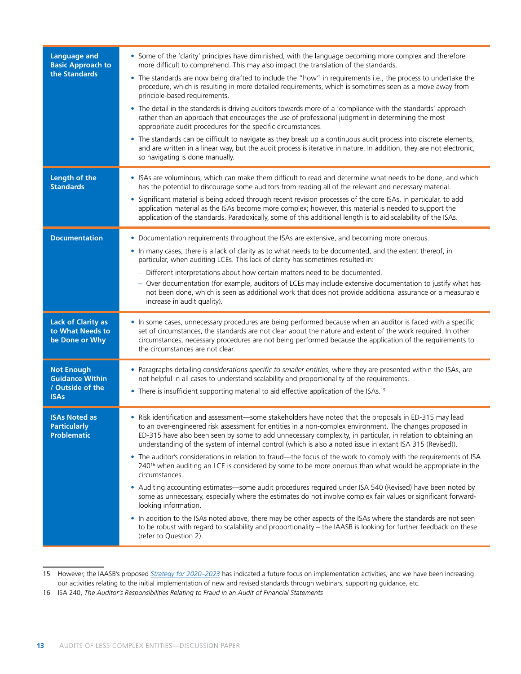| <b>Language and</b><br><b>Basic Approach to</b><br>the Standards               | • Some of the 'clarity' principles have diminished, with the language becoming more complex and therefore<br>more difficult to comprehend. This may also impact the translation of the standards.<br>• The standards are now being drafted to include the "how" in requirements i.e., the process to undertake the<br>procedure, which is resulting in more detailed requirements, which is sometimes seen as a move away from<br>principle-based requirements.<br>• The detail in the standards is driving auditors towards more of a 'compliance with the standards' approach<br>rather than an approach that encourages the use of professional judgment in determining the most<br>appropriate audit procedures for the specific circumstances.<br>• The standards can be difficult to navigate as they break up a continuous audit process into discrete elements,<br>and are written in a linear way, but the audit process is iterative in nature. In addition, they are not electronic,<br>so navigating is done manually.                                                                                                                                                                                                      |
|--------------------------------------------------------------------------------|-----------------------------------------------------------------------------------------------------------------------------------------------------------------------------------------------------------------------------------------------------------------------------------------------------------------------------------------------------------------------------------------------------------------------------------------------------------------------------------------------------------------------------------------------------------------------------------------------------------------------------------------------------------------------------------------------------------------------------------------------------------------------------------------------------------------------------------------------------------------------------------------------------------------------------------------------------------------------------------------------------------------------------------------------------------------------------------------------------------------------------------------------------------------------------------------------------------------------------------------|
| Length of the<br><b>Standards</b>                                              | • ISAs are voluminous, which can make them difficult to read and determine what needs to be done, and which<br>has the potential to discourage some auditors from reading all of the relevant and necessary material.<br>· Significant material is being added through recent revision processes of the core ISAs, in particular, to add<br>application material as the ISAs become more complex; however, this material is needed to support the<br>application of the standards. Paradoxically, some of this additional length is to aid scalability of the ISAs.                                                                                                                                                                                                                                                                                                                                                                                                                                                                                                                                                                                                                                                                     |
| <b>Documentation</b>                                                           | • Documentation requirements throughout the ISAs are extensive, and becoming more onerous.<br>. In many cases, there is a lack of clarity as to what needs to be documented, and the extent thereof, in<br>particular, when auditing LCEs. This lack of clarity has sometimes resulted in:<br>- Different interpretations about how certain matters need to be documented.<br>- Over documentation (for example, auditors of LCEs may include extensive documentation to justify what has<br>not been done, which is seen as additional work that does not provide additional assurance or a measurable<br>increase in audit quality).                                                                                                                                                                                                                                                                                                                                                                                                                                                                                                                                                                                                  |
| <b>Lack of Clarity as</b><br>to What Needs to<br>be Done or Why                | . In some cases, unnecessary procedures are being performed because when an auditor is faced with a specific<br>set of circumstances, the standards are not clear about the nature and extent of the work required. In other<br>circumstances, necessary procedures are not being performed because the application of the requirements to<br>the circumstances are not clear.                                                                                                                                                                                                                                                                                                                                                                                                                                                                                                                                                                                                                                                                                                                                                                                                                                                          |
| <b>Not Enough</b><br><b>Guidance Within</b><br>/ Outside of the<br><b>ISAs</b> | • Paragraphs detailing considerations specific to smaller entities, where they are presented within the ISAs, are<br>not helpful in all cases to understand scalability and proportionality of the requirements.<br>• There is insufficient supporting material to aid effective application of the ISAs. <sup>15</sup>                                                                                                                                                                                                                                                                                                                                                                                                                                                                                                                                                                                                                                                                                                                                                                                                                                                                                                                 |
| <b>ISAs Noted as</b><br><b>Particularly</b><br><b>Problematic</b>              | . Risk identification and assessment-some stakeholders have noted that the proposals in ED-315 may lead<br>to an over-engineered risk assessment for entities in a non-complex environment. The changes proposed in<br>ED-315 have also been seen by some to add unnecessary complexity, in particular, in relation to obtaining an<br>understanding of the system of internal control (which is also a noted issue in extant ISA 315 (Revised)).<br>• The auditor's considerations in relation to fraud—the focus of the work to comply with the requirements of ISA<br>240 <sup>16</sup> when auditing an LCE is considered by some to be more onerous than what would be appropriate in the<br>circumstances.<br>• Auditing accounting estimates—some audit procedures required under ISA 540 (Revised) have been noted by<br>some as unnecessary, especially where the estimates do not involve complex fair values or significant forward-<br>looking information.<br>. In addition to the ISAs noted above, there may be other aspects of the ISAs where the standards are not seen<br>to be robust with regard to scalability and proportionality - the IAASB is looking for further feedback on these<br>(refer to Question 2). |

<sup>15</sup> However, the IAASB's proposed *Strategy for 2020–2023* has indicated a future focus on implementation activities, and we have been increasing our activities relating to the initial implementation of new and revised standards through webinars, supporting guidance, etc.

<sup>16</sup> ISA 240, *The Auditor's Responsibilities Relating to Fraud in an Audit of Financial Statements*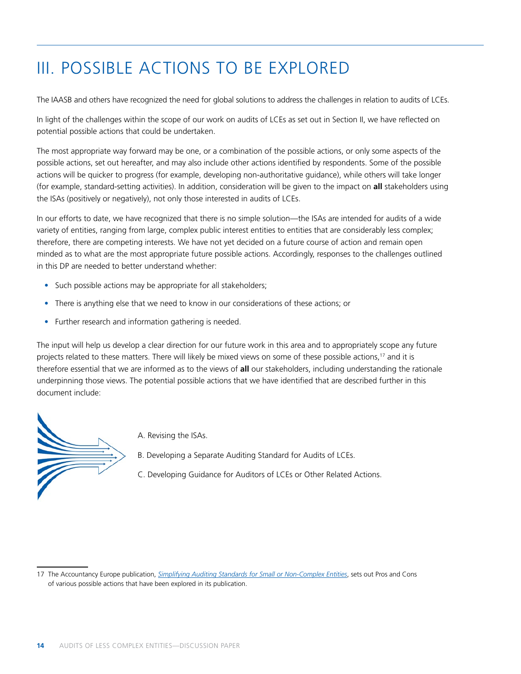# III. POSSIBLE ACTIONS TO BE EXPLORED

The IAASB and others have recognized the need for global solutions to address the challenges in relation to audits of LCEs.

In light of the challenges within the scope of our work on audits of LCEs as set out in Section II, we have reflected on potential possible actions that could be undertaken.

The most appropriate way forward may be one, or a combination of the possible actions, or only some aspects of the possible actions, set out hereafter, and may also include other actions identified by respondents. Some of the possible actions will be quicker to progress (for example, developing non-authoritative guidance), while others will take longer (for example, standard-setting activities). In addition, consideration will be given to the impact on **all** stakeholders using the ISAs (positively or negatively), not only those interested in audits of LCEs.

In our efforts to date, we have recognized that there is no simple solution—the ISAs are intended for audits of a wide variety of entities, ranging from large, complex public interest entities to entities that are considerably less complex; therefore, there are competing interests. We have not yet decided on a future course of action and remain open minded as to what are the most appropriate future possible actions. Accordingly, responses to the challenges outlined in this DP are needed to better understand whether:

- Such possible actions may be appropriate for all stakeholders;
- There is anything else that we need to know in our considerations of these actions; or
- Further research and information gathering is needed.

The input will help us develop a clear direction for our future work in this area and to appropriately scope any future projects related to these matters. There will likely be mixed views on some of these possible actions,<sup>17</sup> and it is therefore essential that we are informed as to the views of **all** our stakeholders, including understanding the rationale underpinning those views. The potential possible actions that we have identified that are described further in this document include:



- A. Revising the ISAs.
- B. Developing a Separate Auditing Standard for Audits of LCEs.
- C. Developing Guidance for Auditors of LCEs or Other Related Actions.

<sup>17</sup> The Accountancy Europe publication, *Simplifying Auditing Standards for Small or Non-Complex Entities*, sets out Pros and Cons of various possible actions that have been explored in its publication.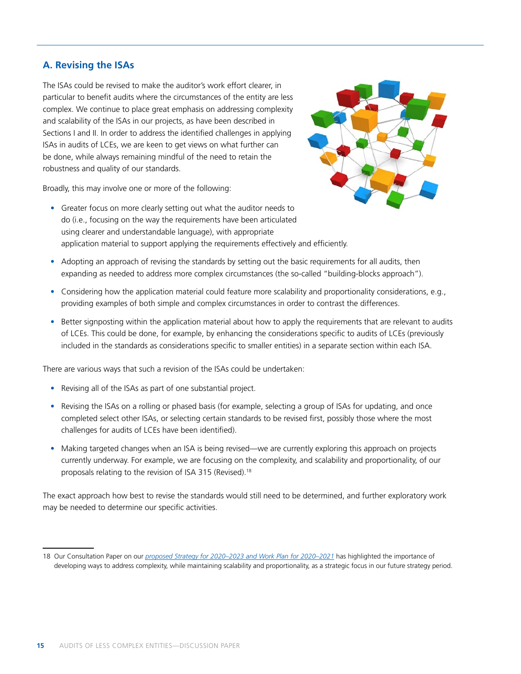### **A. Revising the ISAs**

The ISAs could be revised to make the auditor's work effort clearer, in particular to benefit audits where the circumstances of the entity are less complex. We continue to place great emphasis on addressing complexity and scalability of the ISAs in our projects, as have been described in Sections I and II. In order to address the identified challenges in applying ISAs in audits of LCEs, we are keen to get views on what further can be done, while always remaining mindful of the need to retain the robustness and quality of our standards.



Broadly, this may involve one or more of the following:

- Greater focus on more clearly setting out what the auditor needs to do (i.e., focusing on the way the requirements have been articulated using clearer and understandable language), with appropriate application material to support applying the requirements effectively and efficiently.
- Adopting an approach of revising the standards by setting out the basic requirements for all audits, then expanding as needed to address more complex circumstances (the so-called "building-blocks approach").
- Considering how the application material could feature more scalability and proportionality considerations, e.g., providing examples of both simple and complex circumstances in order to contrast the differences.
- Better signposting within the application material about how to apply the requirements that are relevant to audits of LCEs. This could be done, for example, by enhancing the considerations specific to audits of LCEs (previously included in the standards as considerations specific to smaller entities) in a separate section within each ISA.

There are various ways that such a revision of the ISAs could be undertaken:

- Revising all of the ISAs as part of one substantial project.
- Revising the ISAs on a rolling or phased basis (for example, selecting a group of ISAs for updating, and once completed select other ISAs, or selecting certain standards to be revised first, possibly those where the most challenges for audits of LCEs have been identified).
- Making targeted changes when an ISA is being revised—we are currently exploring this approach on projects currently underway. For example, we are focusing on the complexity, and scalability and proportionality, of our proposals relating to the revision of ISA 315 (Revised).<sup>18</sup>

The exact approach how best to revise the standards would still need to be determined, and further exploratory work may be needed to determine our specific activities.

<sup>18</sup> Our Consultation Paper on our *proposed Strategy for 2020–2023 and Work Plan for 2020–2021* has highlighted the importance of developing ways to address complexity, while maintaining scalability and proportionality, as a strategic focus in our future strategy period.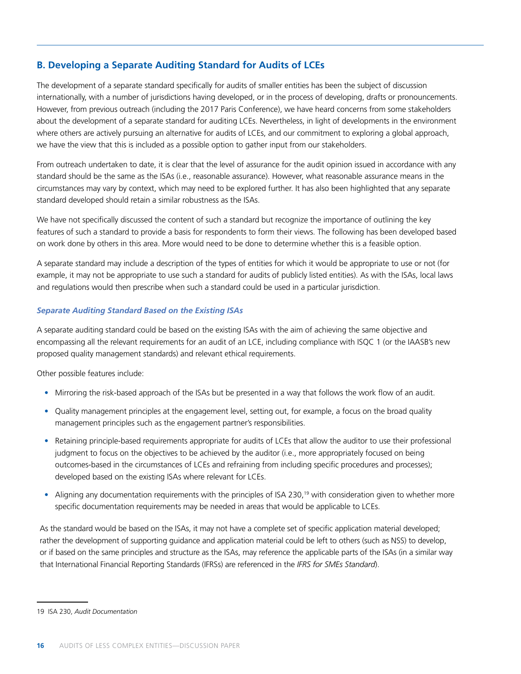### **B. Developing a Separate Auditing Standard for Audits of LCEs**

The development of a separate standard specifically for audits of smaller entities has been the subject of discussion internationally, with a number of jurisdictions having developed, or in the process of developing, drafts or pronouncements. However, from previous outreach (including the 2017 Paris Conference), we have heard concerns from some stakeholders about the development of a separate standard for auditing LCEs. Nevertheless, in light of developments in the environment where others are actively pursuing an alternative for audits of LCEs, and our commitment to exploring a global approach, we have the view that this is included as a possible option to gather input from our stakeholders.

From outreach undertaken to date, it is clear that the level of assurance for the audit opinion issued in accordance with any standard should be the same as the ISAs (i.e., reasonable assurance). However, what reasonable assurance means in the circumstances may vary by context, which may need to be explored further. It has also been highlighted that any separate standard developed should retain a similar robustness as the ISAs.

We have not specifically discussed the content of such a standard but recognize the importance of outlining the key features of such a standard to provide a basis for respondents to form their views. The following has been developed based on work done by others in this area. More would need to be done to determine whether this is a feasible option.

A separate standard may include a description of the types of entities for which it would be appropriate to use or not (for example, it may not be appropriate to use such a standard for audits of publicly listed entities). As with the ISAs, local laws and regulations would then prescribe when such a standard could be used in a particular jurisdiction.

#### *Separate Auditing Standard Based on the Existing ISAs*

A separate auditing standard could be based on the existing ISAs with the aim of achieving the same objective and encompassing all the relevant requirements for an audit of an LCE, including compliance with ISQC 1 (or the IAASB's new proposed quality management standards) and relevant ethical requirements.

Other possible features include:

- Mirroring the risk-based approach of the ISAs but be presented in a way that follows the work flow of an audit.
- Quality management principles at the engagement level, setting out, for example, a focus on the broad quality management principles such as the engagement partner's responsibilities.
- Retaining principle-based requirements appropriate for audits of LCEs that allow the auditor to use their professional judgment to focus on the objectives to be achieved by the auditor (i.e., more appropriately focused on being outcomes-based in the circumstances of LCEs and refraining from including specific procedures and processes); developed based on the existing ISAs where relevant for LCEs.
- Aligning any documentation requirements with the principles of ISA 230,<sup>19</sup> with consideration given to whether more specific documentation requirements may be needed in areas that would be applicable to LCEs.

As the standard would be based on the ISAs, it may not have a complete set of specific application material developed; rather the development of supporting guidance and application material could be left to others (such as NSS) to develop, or if based on the same principles and structure as the ISAs, may reference the applicable parts of the ISAs (in a similar way that International Financial Reporting Standards (IFRSs) are referenced in the *IFRS for SMEs Standard*).

<sup>19</sup> ISA 230, *Audit Documentation*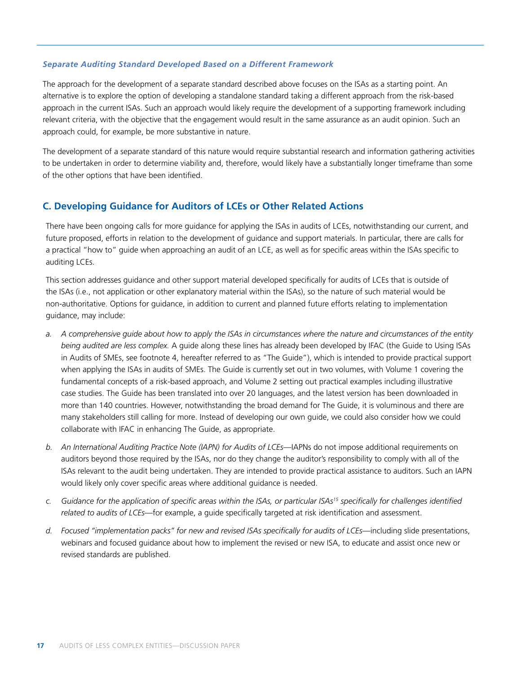#### *Separate Auditing Standard Developed Based on a Different Framework*

The approach for the development of a separate standard described above focuses on the ISAs as a starting point. An alternative is to explore the option of developing a standalone standard taking a different approach from the risk-based approach in the current ISAs. Such an approach would likely require the development of a supporting framework including relevant criteria, with the objective that the engagement would result in the same assurance as an audit opinion. Such an approach could, for example, be more substantive in nature.

The development of a separate standard of this nature would require substantial research and information gathering activities to be undertaken in order to determine viability and, therefore, would likely have a substantially longer timeframe than some of the other options that have been identified.

#### **C. Developing Guidance for Auditors of LCEs or Other Related Actions**

There have been ongoing calls for more guidance for applying the ISAs in audits of LCEs, notwithstanding our current, and future proposed, efforts in relation to the development of guidance and support materials. In particular, there are calls for a practical "how to" guide when approaching an audit of an LCE, as well as for specific areas within the ISAs specific to auditing LCEs.

This section addresses guidance and other support material developed specifically for audits of LCEs that is outside of the ISAs (i.e., not application or other explanatory material within the ISAs), so the nature of such material would be non-authoritative. Options for guidance, in addition to current and planned future efforts relating to implementation guidance, may include:

- *a. A comprehensive guide about how to apply the ISAs in circumstances where the nature and circumstances of the entity being audited are less complex.* A guide along these lines has already been developed by IFAC (the Guide to Using ISAs in Audits of SMEs, see footnote 4, hereafter referred to as "The Guide"), which is intended to provide practical support when applying the ISAs in audits of SMEs. The Guide is currently set out in two volumes, with Volume 1 covering the fundamental concepts of a risk-based approach, and Volume 2 setting out practical examples including illustrative case studies. The Guide has been translated into over 20 languages, and the latest version has been downloaded in more than 140 countries. However, notwithstanding the broad demand for The Guide, it is voluminous and there are many stakeholders still calling for more. Instead of developing our own guide, we could also consider how we could collaborate with IFAC in enhancing The Guide, as appropriate.
- *b. An International Auditing Practice Note (IAPN) for Audits of LCEs*—IAPNs do not impose additional requirements on auditors beyond those required by the ISAs, nor do they change the auditor's responsibility to comply with all of the ISAs relevant to the audit being undertaken. They are intended to provide practical assistance to auditors. Such an IAPN would likely only cover specific areas where additional guidance is needed.
- *c. Guidance for the application of specific areas within the ISAs, or particular ISAs15 specifically for challenges identified related to audits of LCEs*—for example, a guide specifically targeted at risk identification and assessment.
- *d. Focused "implementation packs" for new and revised ISAs specifically for audits of LCEs*—including slide presentations, webinars and focused guidance about how to implement the revised or new ISA, to educate and assist once new or revised standards are published.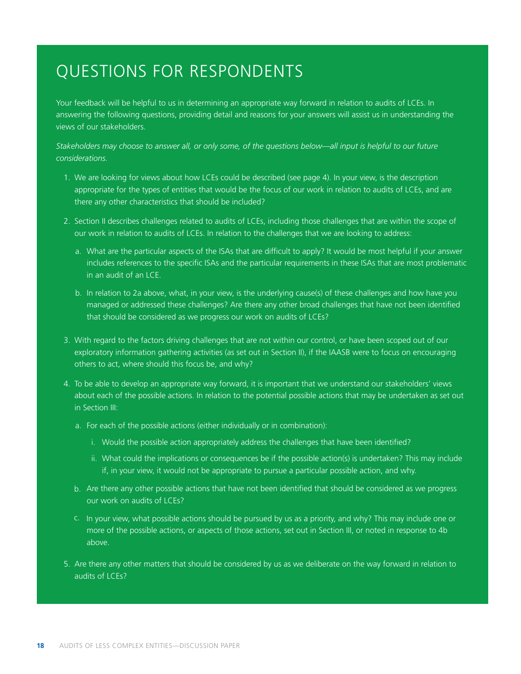### QUESTIONS FOR RESPONDENTS

Your feedback will be helpful to us in determining an appropriate way forward in relation to audits of LCEs. In answering the following questions, providing detail and reasons for your answers will assist us in understanding the views of our stakeholders.

*Stakeholders may choose to answer all, or only some, of the questions below—all input is helpful to our future considerations.* 

- 1. We are looking for views about how LCEs could be described (see page 4). In your view, is the description appropriate for the types of entities that would be the focus of our work in relation to audits of LCEs, and are there any other characteristics that should be included?
- 2. Section II describes challenges related to audits of LCEs, including those challenges that are within the scope of our work in relation to audits of LCEs. In relation to the challenges that we are looking to address:
	- a. What are the particular aspects of the ISAs that are difficult to apply? It would be most helpful if your answer includes references to the specific ISAs and the particular requirements in these ISAs that are most problematic in an audit of an  $ICF$
	- b. In relation to 2a above, what, in your view, is the underlying cause(s) of these challenges and how have you managed or addressed these challenges? Are there any other broad challenges that have not been identified that should be considered as we progress our work on audits of LCEs?
- 3. With regard to the factors driving challenges that are not within our control, or have been scoped out of our exploratory information gathering activities (as set out in Section II), if the IAASB were to focus on encouraging others to act, where should this focus be, and why?
- 4. To be able to develop an appropriate way forward, it is important that we understand our stakeholders' views about each of the possible actions. In relation to the potential possible actions that may be undertaken as set out in Section III:
	- a. For each of the possible actions (either individually or in combination):
		- i. Would the possible action appropriately address the challenges that have been identified?
		- ii. What could the implications or consequences be if the possible action(s) is undertaken? This may include if, in your view, it would not be appropriate to pursue a particular possible action, and why.
	- b. Are there any other possible actions that have not been identified that should be considered as we progress our work on audits of LCEs?
	- c. In your view, what possible actions should be pursued by us as a priority, and why? This may include one or more of the possible actions, or aspects of those actions, set out in Section III, or noted in response to 4b above.
- 5. Are there any other matters that should be considered by us as we deliberate on the way forward in relation to audits of LCEs?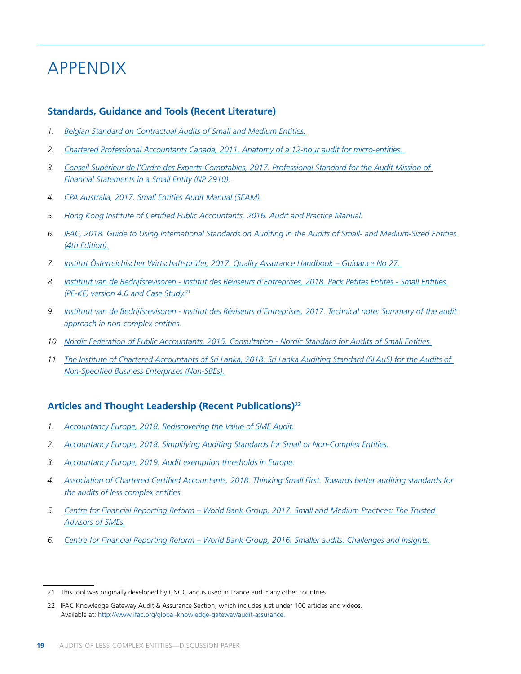## APPENDIX

#### **Standards, Guidance and Tools (Recent Literature)**

- *1. Belgian Standard on Contractual Audits of Small and Medium Entities.*
- *2. Chartered Professional Accountants Canada, 2011. Anatomy of a 12-hour audit for micro-entities.*
- *3. Conseil Supérieur de l'Ordre des Experts-Comptables, 2017. Professional Standard for the Audit Mission of Financial Statements in a Small Entity (NP 2910).*
- *4. CPA Australia, 2017. Small Entities Audit Manual (SEAM).*
- *5. Hong Kong Institute of Certified Public Accountants, 2016. Audit and Practice Manual.*
- *6. IFAC, 2018. Guide to Using International Standards on Auditing in the Audits of Small- and Medium-Sized Entities (4th Edition).*
- *7. Institut Österreichischer Wirtschaftsprüfer, 2017. Quality Assurance Handbook Guidance No 27.*
- *8. Instituut van de Bedrijfsrevisoren Institut des Réviseurs d'Entreprises, 2018. Pack Petites Entités Small Entities (PE-KE) version 4.0 and Case Study.21*
- *9. Instituut van de Bedrijfsrevisoren Institut des Réviseurs d'Entreprises, 2017. Technical note: Summary of the audit approach in non-complex entities.*
- *10. Nordic Federation of Public Accountants, 2015. Consultation Nordic Standard for Audits of Small Entities.*
- *11. The Institute of Chartered Accountants of Sri Lanka, 2018. Sri Lanka Auditing Standard (SLAuS) for the Audits of Non-Specified Business Enterprises (Non-SBEs).*

### **Articles and Thought Leadership (Recent Publications)22**

- *1. Accountancy Europe, 2018. Rediscovering the Value of SME Audit.*
- *2. Accountancy Europe, 2018. Simplifying Auditing Standards for Small or Non-Complex Entities.*
- *3. Accountancy Europe, 2019. Audit exemption thresholds in Europe.*
- *4. Association of Chartered Certified Accountants, 2018. Thinking Small First. Towards better auditing standards for the audits of less complex entities.*
- *5. Centre for Financial Reporting Reform World Bank Group, 2017. Small and Medium Practices: The Trusted Advisors of SMEs.*
- *6. Centre for Financial Reporting Reform World Bank Group, 2016. Smaller audits: Challenges and Insights.*

<sup>21</sup> This tool was originally developed by CNCC and is used in France and many other countries.

<sup>22</sup> IFAC Knowledge Gateway Audit & Assurance Section, which includes just under 100 articles and videos. Available at: http://www.ifac.org/global-knowledge-gateway/audit-assurance.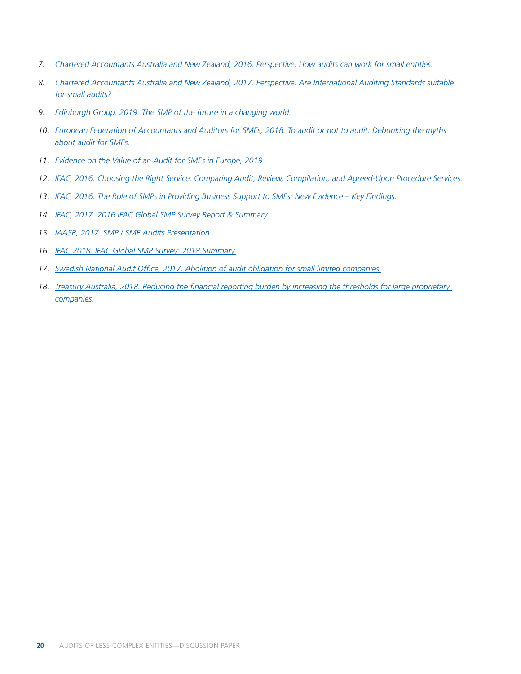- *7. Chartered Accountants Australia and New Zealand, 2016. Perspective: How audits can work for small entities.*
- *8. Chartered Accountants Australia and New Zealand, 2017. Perspective: Are International Auditing Standards suitable for small audits?*
- *9. Edinburgh Group, 2019. The SMP of the future in a changing world.*
- *10. European Federation of Accountants and Auditors for SMEs, 2018. To audit or not to audit: Debunking the myths about audit for SMEs.*
- *11. Evidence on the Value of an Audit for SMEs in Europe, 2019*
- *12. IFAC, 2016. Choosing the Right Service: Comparing Audit, Review, Compilation, and Agreed-Upon Procedure Services.*
- *13. IFAC, 2016. The Role of SMPs in Providing Business Support to SMEs: New Evidence Key Findings.*
- *14. IFAC, 2017. 2016 IFAC Global SMP Survey Report & Summary.*
- *15. IAASB, 2017. SMP / SME Audits Presentation*
- *16. IFAC 2018. IFAC Global SMP Survey: 2018 Summary.*
- *17. Swedish National Audit Office, 2017. Abolition of audit obligation for small limited companies.*
- *18. Treasury Australia, 2018. Reducing the financial reporting burden by increasing the thresholds for large proprietary companies.*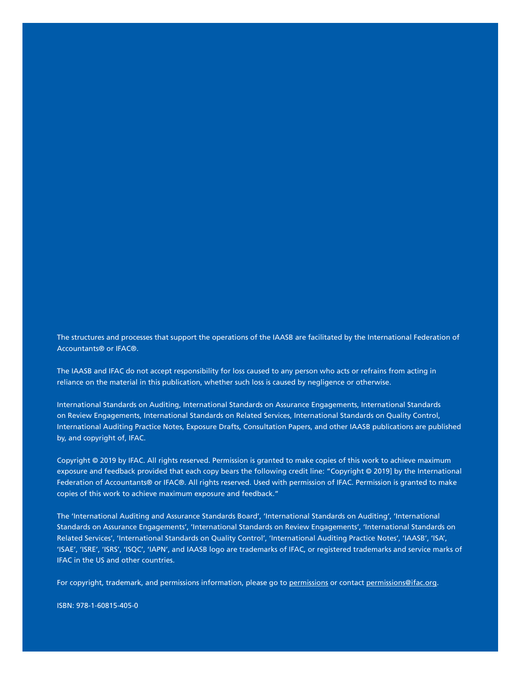The structures and processes that support the operations of the IAASB are facilitated by the International Federation of Accountants® or IFAC®.

The IAASB and IFAC do not accept responsibility for loss caused to any person who acts or refrains from acting in reliance on the material in this publication, whether such loss is caused by negligence or otherwise.

International Standards on Auditing, International Standards on Assurance Engagements, International Standards on Review Engagements, International Standards on Related Services, International Standards on Quality Control, International Auditing Practice Notes, Exposure Drafts, Consultation Papers, and other IAASB publications are published by, and copyright of, IFAC.

Copyright © 2019 by IFAC. All rights reserved. Permission is granted to make copies of this work to achieve maximum exposure and feedback provided that each copy bears the following credit line: "Copyright © 2019] by the International Federation of Accountants® or IFAC®. All rights reserved. Used with permission of IFAC. Permission is granted to make copies of this work to achieve maximum exposure and feedback."

The 'International Auditing and Assurance Standards Board', 'International Standards on Auditing', 'International Standards on Assurance Engagements', 'International Standards on Review Engagements', 'International Standards on Related Services', 'International Standards on Quality Control', 'International Auditing Practice Notes', 'IAASB', 'ISA', 'ISAE', 'ISRE', 'ISRS', 'ISQC', 'IAPN', and IAASB logo are trademarks of IFAC, or registered trademarks and service marks of IFAC in the US and other countries.

For copyright, trademark, and permissions information, please go to permissions or contact permissions@ifac.org.

ISBN: 978-1-60815-405-0